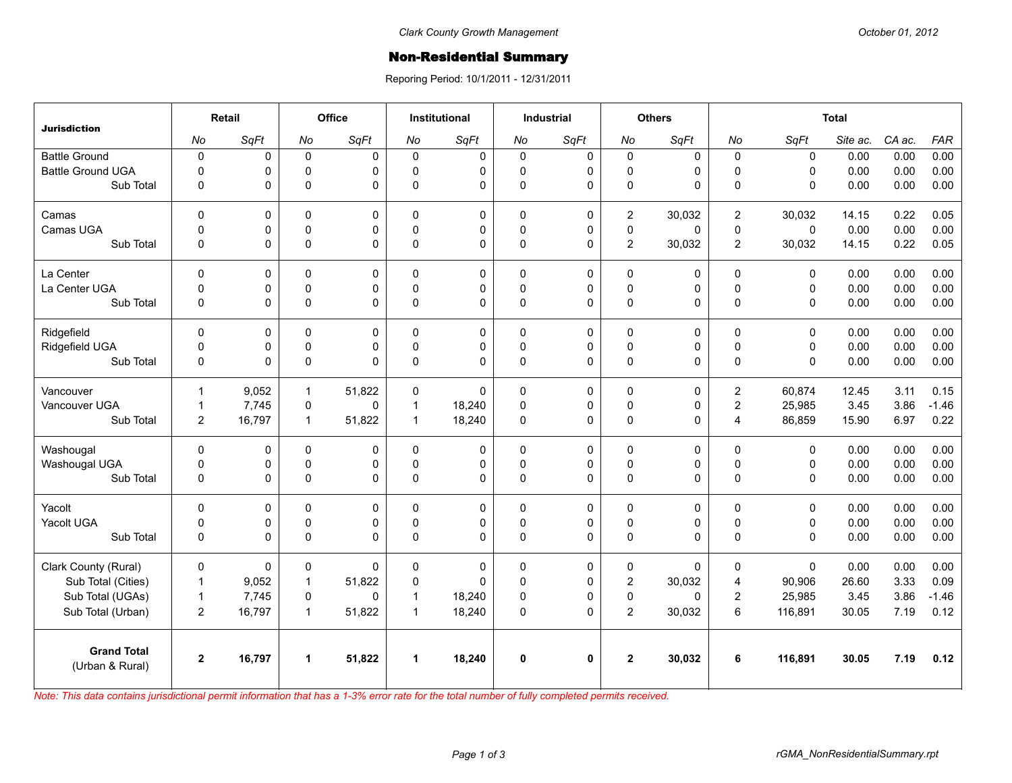## **Non-Residential Summary**

Reporing Period: 10/1/2011 - 12/31/2011

| <b>Jurisdiction</b>                   | Retail         |        | <b>Office</b> |             | <b>Institutional</b> |          | <b>Industrial</b> |              | <b>Others</b>  |          | <b>Total</b>   |             |          |        |            |
|---------------------------------------|----------------|--------|---------------|-------------|----------------------|----------|-------------------|--------------|----------------|----------|----------------|-------------|----------|--------|------------|
|                                       | No             | SqFt   | No            | SqFt        | No                   | SqFt     | No                | SqFt         | No             | SqFt     | No             | SqFt        | Site ac. | CA ac. | <b>FAR</b> |
| <b>Battle Ground</b>                  | $\mathbf 0$    | 0      | $\mathbf 0$   | 0           | $\Omega$             | 0        | $\mathbf 0$       | 0            | $\mathbf 0$    | 0        | $\mathbf{0}$   | $\mathbf 0$ | 0.00     | 0.00   | 0.00       |
| <b>Battle Ground UGA</b>              | $\Omega$       | 0      | $\Omega$      | 0           | $\Omega$             | 0        | 0                 | $\mathbf 0$  | $\mathbf 0$    | 0        | $\Omega$       | $\Omega$    | 0.00     | 0.00   | 0.00       |
| Sub Total                             | $\mathbf 0$    | 0      | 0             | $\Omega$    | $\Omega$             | 0        | 0                 | $\mathbf 0$  | 0              | 0        | $\Omega$       | $\Omega$    | 0.00     | 0.00   | 0.00       |
| Camas                                 | $\Omega$       | 0      | $\Omega$      | $\Omega$    | $\Omega$             | 0        | $\mathbf{0}$      | $\mathbf 0$  | $\overline{2}$ | 30,032   | $\overline{2}$ | 30,032      | 14.15    | 0.22   | 0.05       |
| Camas UGA                             | $\mathbf 0$    | 0      | 0             | 0           | $\Omega$             | 0        | 0                 | $\pmb{0}$    | $\pmb{0}$      | 0        | 0              | $\mathbf 0$ | 0.00     | 0.00   | 0.00       |
| Sub Total                             | $\mathbf 0$    | 0      | 0             | $\Omega$    | $\Omega$             | 0        | $\mathbf 0$       | $\Omega$     | $\overline{2}$ | 30,032   | $\overline{2}$ | 30,032      | 14.15    | 0.22   | 0.05       |
| La Center                             | $\pmb{0}$      | 0      | 0             | $\mathbf 0$ | $\Omega$             | 0        | 0                 | $\mathbf 0$  | 0              | 0        | $\mathbf{0}$   | 0           | 0.00     | 0.00   | 0.00       |
| La Center UGA                         | $\mathbf 0$    | 0      | $\Omega$      | 0           | $\Omega$             | 0        | 0                 | $\mathbf 0$  | $\pmb{0}$      | 0        | $\Omega$       | $\mathbf 0$ | 0.00     | 0.00   | 0.00       |
| Sub Total                             | $\overline{0}$ | 0      | 0             | $\Omega$    | $\Omega$             | 0        | 0                 | $\Omega$     | 0              | 0        | $\Omega$       | $\Omega$    | 0.00     | 0.00   | 0.00       |
| Ridgefield                            | $\Omega$       | 0      | 0             | $\Omega$    | $\Omega$             | 0        | $\Omega$          | $\mathbf 0$  | $\Omega$       | 0        | $\Omega$       | $\Omega$    | 0.00     | 0.00   | 0.00       |
| Ridgefield UGA                        | $\mathbf 0$    | 0      | $\pmb{0}$     | $\pmb{0}$   | $\Omega$             | 0        | $\mathsf 0$       | $\pmb{0}$    | $\pmb{0}$      | 0        | $\pmb{0}$      | $\mathbf 0$ | 0.00     | 0.00   | 0.00       |
| Sub Total                             | $\overline{0}$ | 0      | $\mathbf 0$   | $\Omega$    | $\Omega$             | 0        | $\mathbf 0$       | $\Omega$     | 0              | 0        | $\Omega$       | $\Omega$    | 0.00     | 0.00   | 0.00       |
| Vancouver                             | $\mathbf{1}$   | 9,052  | $\mathbf{1}$  | 51.822      | $\Omega$             | $\Omega$ | $\Omega$          | $\Omega$     | $\Omega$       | 0        | $\overline{c}$ | 60,874      | 12.45    | 3.11   | 0.15       |
| Vancouver UGA                         | $\mathbf{1}$   | 7,745  | 0             | $\Omega$    | $\mathbf{1}$         | 18,240   | 0                 | $\pmb{0}$    | 0              | 0        | $\overline{2}$ | 25,985      | 3.45     | 3.86   | $-1.46$    |
| Sub Total                             | $\overline{2}$ | 16,797 | $\mathbf{1}$  | 51,822      | $\mathbf{1}$         | 18,240   | 0                 | $\mathbf 0$  | 0              | 0        | 4              | 86,859      | 15.90    | 6.97   | 0.22       |
| Washougal                             | $\mathbf 0$    | 0      | 0             | 0           | $\Omega$             | 0        | $\mathbf 0$       | $\pmb{0}$    | 0              | 0        | $\Omega$       | $\Omega$    | 0.00     | 0.00   | 0.00       |
| Washougal UGA                         | $\mathbf 0$    | 0      | 0             | $\mathbf 0$ | $\Omega$             | 0        | 0                 | $\mathbf 0$  | $\pmb{0}$      | 0        | $\Omega$       | $\Omega$    | 0.00     | 0.00   | 0.00       |
| Sub Total                             | $\mathbf 0$    | 0      | 0             | $\Omega$    | $\Omega$             | 0        | 0                 | $\mathbf 0$  | 0              | 0        | $\Omega$       | $\mathbf 0$ | 0.00     | 0.00   | 0.00       |
| Yacolt                                | $\Omega$       | 0      | $\Omega$      | $\Omega$    | $\Omega$             | 0        | $\Omega$          | $\mathbf 0$  | 0              | 0        | $\Omega$       | $\Omega$    | 0.00     | 0.00   | 0.00       |
| Yacolt UGA                            | 0              | 0      | 0             | 0           | $\mathbf{0}$         | 0        | 0                 | 0            | $\mathsf 0$    | 0        | $\Omega$       | 0           | 0.00     | 0.00   | 0.00       |
| Sub Total                             | $\Omega$       | 0      | $\Omega$      | $\Omega$    | $\Omega$             | 0        | $\Omega$          | $\Omega$     | 0              | $\Omega$ | $\Omega$       | $\Omega$    | 0.00     | 0.00   | 0.00       |
| Clark County (Rural)                  | $\mathbf 0$    | 0      | 0             | $\mathbf 0$ | 0                    | 0        | $\mathbf 0$       | $\pmb{0}$    | 0              | 0        | 0              | $\mathbf 0$ | 0.00     | 0.00   | 0.00       |
| Sub Total (Cities)                    | $\mathbf{1}$   | 9,052  | $\mathbf{1}$  | 51,822      | $\Omega$             | 0        | $\Omega$          | $\pmb{0}$    | $\overline{2}$ | 30,032   | $\overline{4}$ | 90,906      | 26.60    | 3.33   | 0.09       |
| Sub Total (UGAs)                      | $\mathbf{1}$   | 7,745  | 0             | $\Omega$    | 1                    | 18,240   | 0                 | $\mathbf 0$  | 0              | 0        | 2              | 25,985      | 3.45     | 3.86   | $-1.46$    |
| Sub Total (Urban)                     | $\overline{2}$ | 16,797 | $\mathbf{1}$  | 51,822      | $\mathbf 1$          | 18,240   | 0                 | $\Omega$     | $\overline{2}$ | 30,032   | 6              | 116,891     | 30.05    | 7.19   | 0.12       |
| <b>Grand Total</b><br>(Urban & Rural) | $\overline{2}$ | 16,797 | 1             | 51,822      | 1                    | 18,240   | 0                 | $\mathbf{0}$ | $\overline{2}$ | 30,032   | 6              | 116,891     | 30.05    | 7.19   | 0.12       |

*Note: This data contains jurisdictional permit information that has a 1-3% error rate for the total number of fully completed permits received.*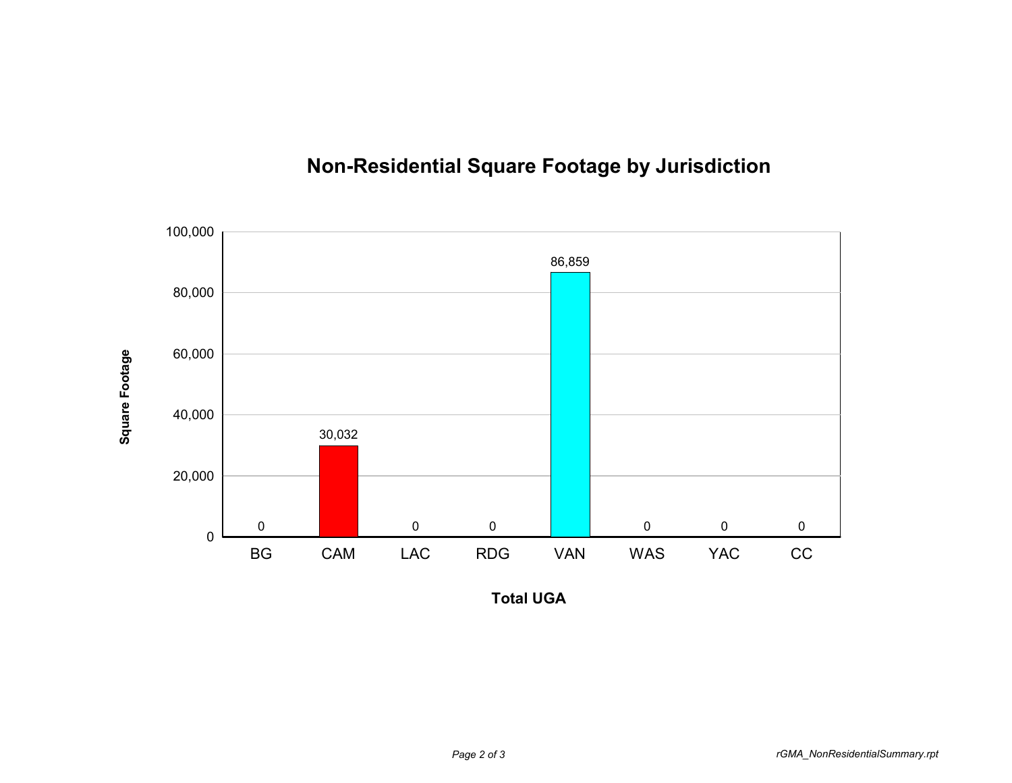## **Non-Residential Square Footage by Jurisdiction**



**Total UGA**